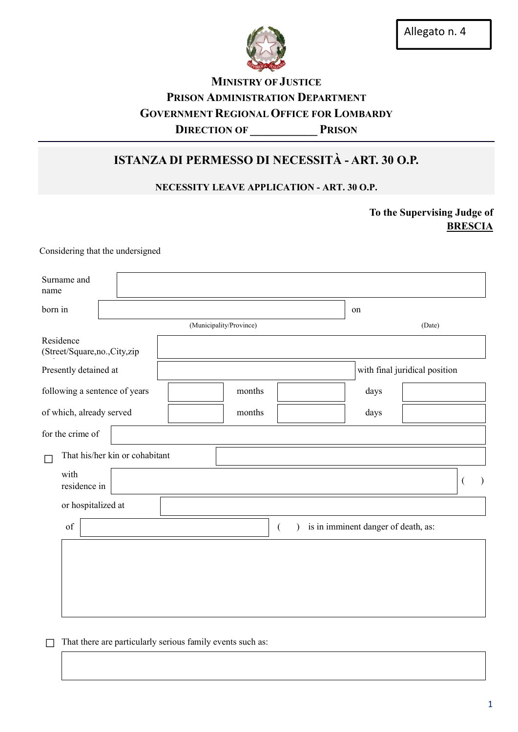

# **MINISTRY OF JUSTICE** PRISON ADMINISTRATION DEPARTMENT GOVERNMENT REGIONAL OFFICE FOR LOMBARDY DIRECTION OF PRISON

# ISTANZA DI PERMESSO DI NECESSITÀ - ART. 30 O.P.

## NECESSITY LEAVE APPLICATION - ART. 30 O.P.

To the Supervising Judge of **BRESCIA** 

Considering that the undersigned

| Surname and<br>name                      |  |                                |  |        |                |                               |                                     |  |   |  |
|------------------------------------------|--|--------------------------------|--|--------|----------------|-------------------------------|-------------------------------------|--|---|--|
| born in                                  |  |                                |  |        |                |                               | on                                  |  |   |  |
| (Municipality/Province)                  |  |                                |  |        |                |                               | (Date)                              |  |   |  |
| Residence<br>(Street/Square,no.,City,zip |  |                                |  |        |                |                               |                                     |  |   |  |
| Presently detained at                    |  |                                |  |        |                | with final juridical position |                                     |  |   |  |
| following a sentence of years            |  |                                |  | months |                |                               | days                                |  |   |  |
| of which, already served                 |  |                                |  | months |                |                               | days                                |  |   |  |
| for the crime of                         |  |                                |  |        |                |                               |                                     |  |   |  |
|                                          |  | That his/her kin or cohabitant |  |        |                |                               |                                     |  |   |  |
| with<br>residence in                     |  |                                |  |        |                |                               |                                     |  | ( |  |
| or hospitalized at                       |  |                                |  |        |                |                               |                                     |  |   |  |
| of                                       |  |                                |  |        | $\overline{ }$ |                               | is in imminent danger of death, as: |  |   |  |
|                                          |  |                                |  |        |                |                               |                                     |  |   |  |
|                                          |  |                                |  |        |                |                               |                                     |  |   |  |
|                                          |  |                                |  |        |                |                               |                                     |  |   |  |
|                                          |  |                                |  |        |                |                               |                                     |  |   |  |

 $\Box$  That there are particularly serious family events such as: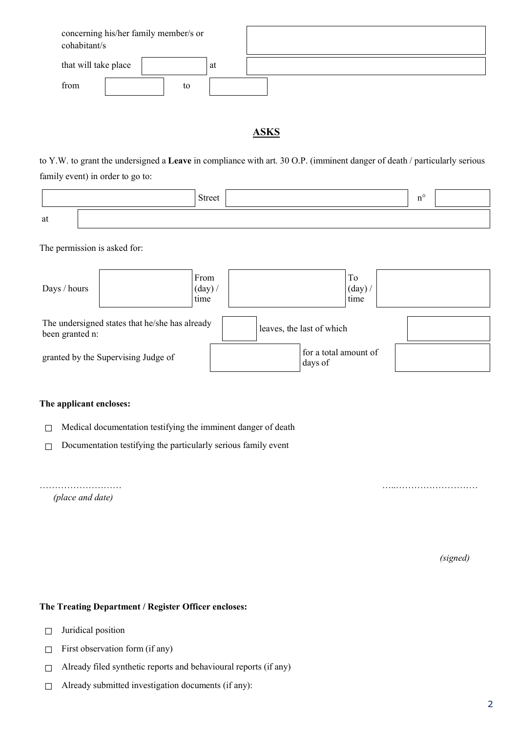| concerning his/her family member/s or<br>cohabitant/s |    |  |
|-------------------------------------------------------|----|--|
| that will take place                                  | at |  |
| from<br>to                                            |    |  |

### **ASKS**

to Y.W. to grant the undersigned a Leave in compliance with art. 30 O.P. (imminent danger of death / particularly serious family event) in order to go to:

|    | <b>Street</b> |  |
|----|---------------|--|
| at |               |  |

The permission is asked for:

| Days / hours                                                      |  | From<br>$(\text{day})$ /<br>time |                                  | To<br>$(\text{day})$<br>time |  |
|-------------------------------------------------------------------|--|----------------------------------|----------------------------------|------------------------------|--|
| The undersigned states that he/she has already<br>been granted n: |  |                                  | leaves, the last of which        |                              |  |
| granted by the Supervising Judge of                               |  |                                  | for a total amount of<br>days of |                              |  |

#### The applicant encloses:

□ Medical documentation testifying the imminent danger of death

 $\Box$  Documentation testifying the particularly serious family event

……………………… …..……………………… *(place and date)*

*(signed)*

#### The Treating Department / Register Officer encloses:

- □ Juridical position
- $\Box$  First observation form (if any)
- □ Already filed synthetic reports and behavioural reports (if any)
- □ Already submitted investigation documents (if any):